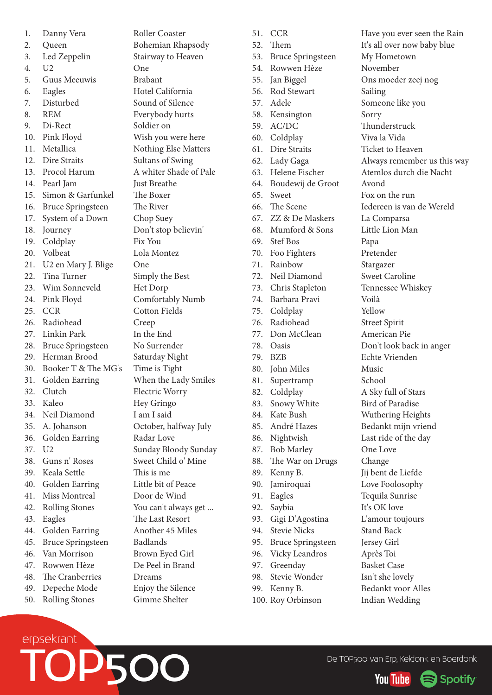1. Danny Vera Roller Coaster 2. Queen Bohemian Rhapsody 3. Led Zeppelin Stairway to Heaven 4. U2 One 5. Guus Meeuwis Brabant 6. Eagles Hotel California 7. Disturbed Sound of Silence 8. REM Everybody hurts 9. Di-Rect Soldier on 10. Pink Floyd Wish you were here 11. Metallica Nothing Else Matters 12. Dire Straits Sultans of Swing 13. Procol Harum A whiter Shade of Pale 14. Pearl Jam Just Breathe 15. Simon & Garfunkel The Boxer 16. Bruce Springsteen The River 17. System of a Down Chop Suey 18. Journey Don't stop believin' 19. Coldplay Fix You 20. Volbeat Lola Montez 21. U2 en Mary J. Blige One 22. Tina Turner Simply the Best 23. Wim Sonneveld Het Dorp 24. Pink Floyd Comfortably Numb 25. CCR Cotton Fields 26. Radiohead Creep 27. Linkin Park In the End 28. Bruce Springsteen No Surrender 29. Herman Brood Saturday Night 30. Booker T & The MG's Time is Tight 31. Golden Earring When the Lady Smiles 32. Clutch Electric Worry 33. Kaleo Hey Gringo 34. Neil Diamond I am I said 35. A. Johanson October, halfway July 36. Golden Earring Radar Love 37. U2 Sunday Bloody Sunday 38. Guns n' Roses Sweet Child o' Mine 39. Keala Settle This is me 40. Golden Earring Little bit of Peace 41. Miss Montreal Door de Wind 42. Rolling Stones You can't always get ... 43. Eagles The Last Resort 44. Golden Earring Another 45 Miles 45. Bruce Springsteen Badlands 46. Van Morrison Brown Eyed Girl 47. Rowwen Hèze De Peel in Brand 48. The Cranberries Dreams 49. Depeche Mode Enjoy the Silence

52. Them It's all over now baby blue 53. Bruce Springsteen My Hometown 54. Rowwen Hèze November 55. Jan Biggel Ons moeder zeej nog 56. Rod Stewart Sailing 57. Adele Someone like you 58. Kensington Sorry 59. AC/DC Thunderstruck 60. Coldplay Viva la Vida 61. Dire Straits Ticket to Heaven 62. Lady Gaga Always remember us this way 63. Helene Fischer Atemlos durch die Nacht 64. Boudewij de Groot Avond 65. Sweet Fox on the run 66. The Scene Iedereen is van de Wereld 67. ZZ & De Maskers La Comparsa 68. Mumford & Sons Little Lion Man 69. Stef Bos Papa 70. Foo Fighters Pretender 71. Rainbow Stargazer 72. Neil Diamond Sweet Caroline 73. Chris Stapleton Tennessee Whiskey 74. Barbara Pravi Voilà 75. Coldplay Yellow 76. Radiohead Street Spirit 77. Don McClean American Pie 78. Oasis Don't look back in anger 79. BZB Echte Vrienden 80. John Miles Music 81. Supertramp School 82. Coldplay A Sky full of Stars 83. Snowy White Bird of Paradise 84. Kate Bush Wuthering Heights 85. André Hazes Bedankt mijn vriend 86. Nightwish Last ride of the day 87. Bob Marley One Love 88. The War on Drugs Change 89. Kenny B. Jij bent de Liefde 90. Jamiroquai Love Foolosophy 91. Eagles Tequila Sunrise 92. Saybia It's OK love 93. Gigi D'Agostina L'amour toujours 94. Stevie Nicks Stand Back 95. Bruce Springsteen Jersey Girl 96. Vicky Leandros Après Toi 97. Greenday Basket Case 98. Stevie Wonder Isn't she lovely 99. Kenny B. Bedankt voor Alles

51. CCR Have you ever seen the Rain 100. Roy Orbinson Indian Wedding



50. Rolling Stones Gimme Shelter

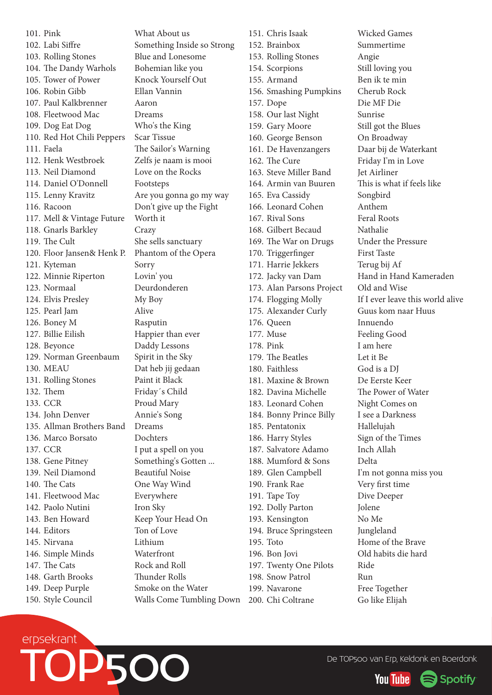101. Pink What About us 102. Labi Siffre Something Inside so Strong 103. Rolling Stones Blue and Lonesome 104. The Dandy Warhols Bohemian like you 105. Tower of Power Knock Yourself Out 106. Robin Gibb Ellan Vannin 107. Paul Kalkbrenner Aaron 108. Fleetwood Mac Dreams 109. Dog Eat Dog Who's the King 110. Red Hot Chili Peppers Scar Tissue 111. Faela The Sailor's Warning 112. Henk Westbroek Zelfs je naam is mooi 113. Neil Diamond Love on the Rocks 114. Daniel O'Donnell Footsteps 115. Lenny Kravitz Are you gonna go my way 116. Racoon Don't give up the Fight 117. Mell & Vintage Future Worth it 118. Gnarls Barkley Crazy 119. The Cult She sells sanctuary 120. Floor Jansen& Henk P. Phantom of the Opera 121. Kyteman Sorry 122. Minnie Riperton Lovin' you 123. Normaal Deurdonderen 124. Elvis Presley My Boy 125. Pearl Jam Alive 126. Boney M Rasputin 127. Billie Eilish Happier than ever 128. Beyonce Daddy Lessons 129. Norman Greenbaum Spirit in the Sky 130. MEAU Dat heb jij gedaan 131. Rolling Stones Paint it Black 132. Them Friday's Child 133. CCR Proud Mary 134. John Denver Annie's Song 135. Allman Brothers Band Dreams 136. Marco Borsato Dochters 137. CCR I put a spell on you 138. Gene Pitney Something's Gotten ... 139. Neil Diamond Beautiful Noise 140. The Cats One Way Wind 141. Fleetwood Mac Everywhere 142. Paolo Nutini Iron Sky 143. Ben Howard Keep Your Head On 144. Editors Ton of Love 145. Nirvana Lithium 146. Simple Minds Waterfront 147. The Cats Rock and Roll 148. Garth Brooks Thunder Rolls 149. Deep Purple Smoke on the Water 150. Style Council Walls Come Tumbling Down

151. Chris Isaak Wicked Games 152. Brainbox Summertime 153. Rolling Stones Angie 154. Scorpions Still loving you 155. Armand Ben ik te min 156. Smashing Pumpkins Cherub Rock 157. Dope Die MF Die 158. Our last Night Sunrise 159. Gary Moore Still got the Blues 160. George Benson On Broadway 161. De Havenzangers Daar bij de Waterkant 162. The Cure Friday I'm in Love 163 Steve Miller Band Jet Airliner 164. Armin van Buuren This is what if feels like 165. Eva Cassidy Songbird 166. Leonard Cohen Anthem 167. Rival Sons Feral Roots 168. Gilbert Becaud Nathalie 169. The War on Drugs Under the Pressure 170. Triggerfinger First Taste 171. Harrie Jekkers Terug bij Af 173. Alan Parsons Project Old and Wise 175. Alexander Curly Guus kom naar Huus 176. Queen Innuendo 177. Muse Feeling Good 178. Pink I am here 179. The Beatles Let it Be 180. Faithless God is a DJ 181. Maxine & Brown De Eerste Keer 182. Davina Michelle The Power of Water 183. Leonard Cohen Night Comes on 184. Bonny Prince Billy I see a Darkness 185. Pentatonix Hallelujah 186. Harry Styles Sign of the Times 187. Salvatore Adamo Inch Allah 188. Mumford & Sons Delta 189. Glen Campbell I'm not gonna miss you 190. Frank Rae Very first time 191. Tape Toy Dive Deeper 192. Dolly Parton Jolene 193. Kensington No Me 194. Bruce Springsteen Jungleland 195. Toto Home of the Brave 196. Bon Jovi Old habits die hard 197. Twenty One Pilots Ride 198. Snow Patrol Run 199. Navarone Free Together

172. Jacky van Dam Hand in Hand Kameraden 174. Flogging Molly If I ever leave this world alive 200. Chi Coltrane Go like Elijah



De TOP500 van Erp, Keldonk en Boerdonk  $\begin{picture}(180,190)(0,0) \put(0,0){\line(1,0){10}} \put(10,0){\line(1,0){10}} \put(10,0){\line(1,0){10}} \put(10,0){\line(1,0){10}} \put(10,0){\line(1,0){10}} \put(10,0){\line(1,0){10}} \put(10,0){\line(1,0){10}} \put(10,0){\line(1,0){10}} \put(10,0){\line(1,0){10}} \put($ 

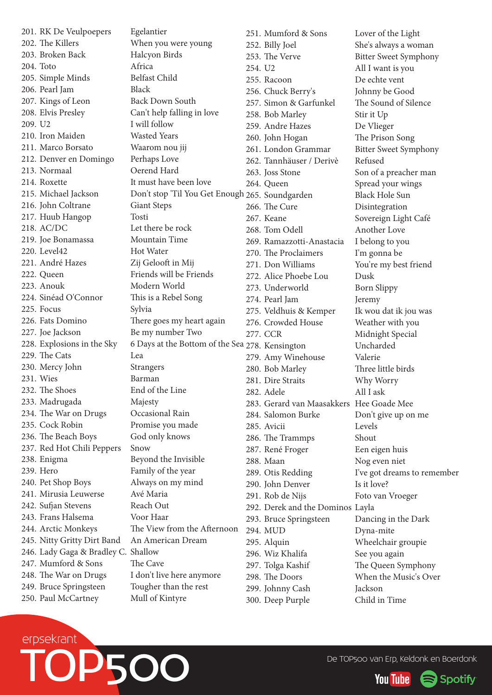201. RK De Veulpoepers Egelantier 202. The Killers When you were young 203. Broken Back Halcyon Birds 204. Toto Africa 205. Simple Minds Belfast Child 206. Pearl Jam Black 207. Kings of Leon Back Down South 208. Elvis Presley Can't help falling in love 209. U2 I will follow 210. Iron Maiden Wasted Years 211. Marco Borsato Waarom nou jij 212. Denver en Domingo Perhaps Love 213. Normaal Oerend Hard 214. Roxette It must have been love 216. John Coltrane Giant Steps 217. Huub Hangop Tosti 218. AC/DC Let there be rock 219. Joe Bonamassa Mountain Time 220. Level42 Hot Water 221. André Hazes Zij Gelooft in Mij 222. Queen Friends will be Friends 223. Anouk Modern World 224. Sinéad O'Connor This is a Rebel Song 225. Focus Sylvia 226. Fats Domino There goes my heart again 227. Joe Jackson Be my number Two 229. The Cats Lea 230. Mercy John Strangers 231. Wies Barman 232. The Shoes End of the Line 233. Madrugada Majesty 234. The War on Drugs Occasional Rain 235. Cock Robin Promise you made 236. The Beach Boys God only knows 237. Red Hot Chili Peppers Snow 238. Enigma Beyond the Invisible 239. Hero Family of the year 240. Pet Shop Boys Always on my mind 241. Mirusia Leuwerse Avé Maria 242. Sufjan Stevens Reach Out 243. Frans Halsema Voor Haar 244. Arctic Monkeys The View from the Afternoon 245. Nitty Gritty Dirt Band An American Dream 246. Lady Gaga & Bradley C. Shallow 247. Mumford & Sons The Cave 248. The War on Drugs I don't live here anymore 249. Bruce Springsteen Tougher than the rest 250. Paul McCartney Mull of Kintyre

228. Explosions in the Sky 6 Days at the Bottom of the Sea 278. Kensington Uncharded

215. Michael Jackson Don't stop 'Til You Get Enough 265. Soundgarden Black Hole Sun 251. Mumford & Sons Lover of the Light 252. Billy Joel She's always a woman 253. The Verve Bitter Sweet Symphony 254. U2 All I want is you 255. Racoon De echte vent 256. Chuck Berry's Johnny be Good 257. Simon & Garfunkel The Sound of Silence 258. Bob Marley Stir it Up 259. Andre Hazes De Vlieger 260. John Hogan The Prison Song 261. London Grammar Bitter Sweet Symphony 262. Tannhäuser / Derivè Refused 263. Joss Stone Son of a preacher man 264. Queen Spread your wings 266. The Cure Disintegration 267. Keane Sovereign Light Café 268. Tom Odell Another Love 269. Ramazzotti-Anastacia I belong to you 270. The Proclaimers I'm gonna be 271. Don Williams You're my best friend 272. Alice Phoebe Lou Dusk 273. Underworld Born Slippy 274. Pearl Jam Jeremy 275. Veldhuis & Kemper Ik wou dat ik jou was 276. Crowded House Weather with you 277. CCR Midnight Special 279. Amy Winehouse Valerie 280. Bob Marley Three little birds 281. Dire Straits Why Worry 282. Adele All I ask 283. Gerard van Maasakkers Hee Goade Mee 284. Salomon Burke Don't give up on me 285. Avicii Levels 286. The Trammps Shout 287. René Froger Een eigen huis 288. Maan Nog even niet 289. Otis Redding I've got dreams to remember 290. John Denver Is it love? 291. Rob de Nijs Foto van Vroeger 292. Derek and the Dominos Layla 293. Bruce Springsteen Dancing in the Dark 294. MUD Dyna-mite 295. Alquin Wheelchair groupie 296. Wiz Khalifa See you again 297. Tolga Kashif The Queen Symphony 298. The Doors When the Music's Over 299. Johnny Cash Jackson 300. Deep Purple Child in Time



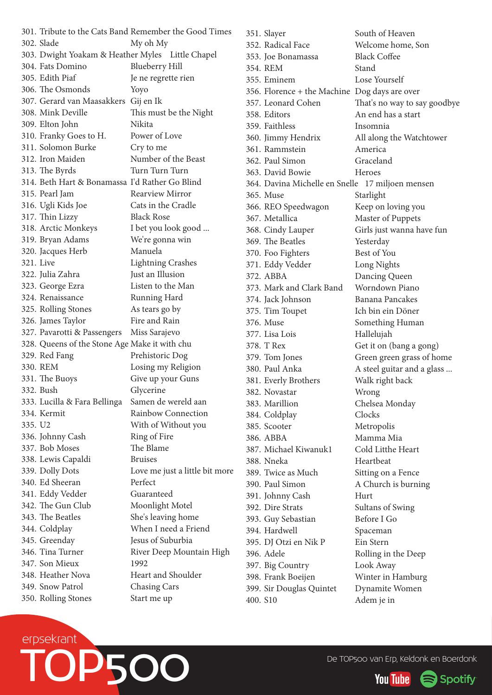301. Tribute to the Cats Band Remember the Good Times 302. Slade My oh My 303. Dwight Yoakam & Heather Myles Little Chapel 304. Fats Domino Blueberry Hill 305. Edith Piaf Je ne regrette rien 306. The Osmonds Yoyo 307. Gerard van Maasakkers Gij en Ik 308. Mink Deville This must be the Night 309. Elton John Nikita 310. Franky Goes to H. Power of Love 311. Solomon Burke Cry to me 312. Iron Maiden Number of the Beast 313. The Byrds Turn Turn Turn 314. Beth Hart & Bonamassa I'd Rather Go Blind 315. Pearl Jam Rearview Mirror 316. Ugli Kids Joe Cats in the Cradle 317. Thin Lizzy Black Rose 318. Arctic Monkeys I bet you look good ... 319. Bryan Adams We're gonna win 320. Jacques Herb Manuela 321. Live Lightning Crashes 322. Julia Zahra Just an Illusion 323. George Ezra Listen to the Man 324. Renaissance Running Hard 325. Rolling Stones As tears go by 326. James Taylor Fire and Rain 327. Pavarotti & Passengers Miss Sarajevo 328. Queens of the Stone Age Make it with chu 329. Red Fang Prehistoric Dog 330. REM Losing my Religion 331. The Buoys Give up your Guns 332. Bush Glycerine 333. Lucilla & Fara Bellinga Samen de wereld aan 334. Kermit Rainbow Connection 335. U2 With of Without you 336. Johnny Cash Ring of Fire 337. Bob Moses The Blame 338. Lewis Capaldi Bruises 339. Dolly Dots Love me just a little bit more 340. Ed Sheeran Perfect 341. Eddy Vedder Guaranteed 342. The Gun Club Moonlight Motel 343. The Beatles She's leaving home 344. Coldplay When I need a Friend 345. Greenday Jesus of Suburbia 346. Tina Turner River Deep Mountain High 347. Son Mieux 1992 348 Heather Nova Heart and Shoulder 349. Snow Patrol Chasing Cars 350. Rolling Stones Start me up

351. Slayer South of Heaven 352. Radical Face Welcome home, Son 353. Joe Bonamassa Black Coffee 354. REM Stand 355. Eminem Lose Yourself 356. Florence + the Machine Dog days are over 357. Leonard Cohen That's no way to say goodbye 358. Editors An end has a start 359. Faithless Insomnia 360. Jimmy Hendrix All along the Watchtower 361. Rammstein America 362. Paul Simon Graceland 363. David Bowie Heroes 364. Davina Michelle en Snelle 17 miljoen mensen 365. Muse Starlight 366. REO Speedwagon Keep on loving you 367. Metallica Master of Puppets 368. Cindy Lauper Girls just wanna have fun 369. The Beatles Yesterday 370. Foo Fighters Best of You 371. Eddy Vedder Long Nights 372. ABBA Dancing Queen 373. Mark and Clark Band Worndown Piano 374. Jack Johnson Banana Pancakes 375. Tim Toupet Ich bin ein Döner 376. Muse Something Human 377. Lisa Lois Hallelujah 378. T Rex Get it on (bang a gong) 379. Tom Jones Green green grass of home 380. Paul Anka A steel guitar and a glass ... 381. Everly Brothers Walk right back 382. Novastar Wrong 383. Marillion Chelsea Monday 384. Coldplay Clocks 385. Scooter Metropolis 386. ABBA Mamma Mia 387. Michael Kiwanuk1 Cold Litthe Heart 388. Nneka Heartbeat 389. Twice as Much Sitting on a Fence 390. Paul Simon A Church is burning 391. Johnny Cash Hurt 392. Dire Strats Sultans of Swing 393. Guy Sebastian Before I Go 394. Hardwell Spaceman 395. DJ Otzi en Nik P Ein Stern 396. Adele Rolling in the Deep 397. Big Country Look Away 398. Frank Boeijen Winter in Hamburg 399. Sir Douglas Quintet Dynamite Women 400. S10 Adem je in



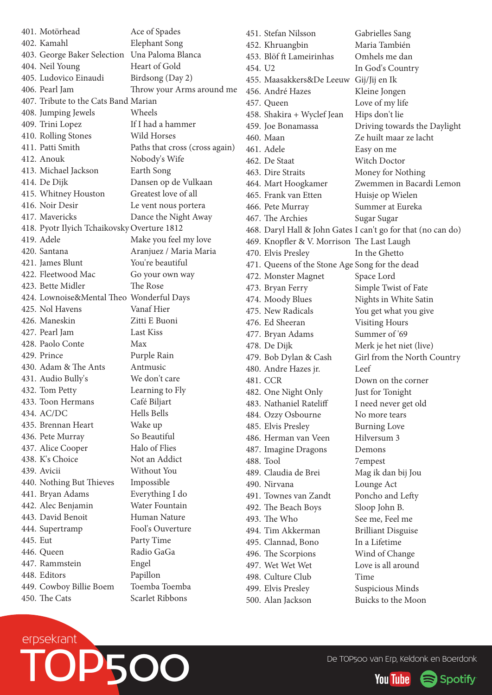401. Motörhead Ace of Spades 402. Kamahl Elephant Song 403. George Baker Selection Una Paloma Blanca 404. Neil Young Heart of Gold 405. Ludovico Einaudi Birdsong (Day 2) 406. Pearl Jam Throw your Arms around me 407. Tribute to the Cats Band Marian 408. Jumping Jewels Wheels 409. Trini Lopez If I had a hammer 410. Rolling Stones Wild Horses 411. Patti Smith Paths that cross (cross again) 412. Anouk Nobody's Wife 413. Michael Jackson Earth Song 414. De Dijk Dansen op de Vulkaan 415. Whitney Houston Greatest love of all 416. Noir Desir Le vent nous portera 417. Mavericks Dance the Night Away 418. Pyotr Ilyich TchaikovskyOverture 1812 419. Adele Make you feel my love 420. Santana Aranjuez / Maria Maria 421. James Blunt You're beautiful 422. Fleetwood Mac Go your own way 423. Bette Midler The Rose 424. Lownoise&Mental Theo Wonderful Days 425. Nol Havens Vanaf Hier 426. Maneskin Zitti E Buoni 427. Pearl Jam Last Kiss 428. Paolo Conte Max 429. Prince Purple Rain 430. Adam & The Ants Antmusic 431. Audio Bully's We don't care 432. Tom Petty Learning to Fly 433. Toon Hermans Café Biljart 434. AC/DC Hells Bells 435. Brennan Heart Wake up 436. Pete Murray So Beautiful 437. Alice Cooper Halo of Flies 438 K's Choice Not an Addict 439. Avicii Without You 440. Nothing But Thieves Impossible 441. Bryan Adams Everything I do 442. Alec Benjamin Water Fountain 443. David Benoit Human Nature 444. Supertramp Fool's Ouverture 445. Eut Party Time 446. Queen Radio GaGa 447. Rammstein Engel 448. Editors Papillon 449. Cowboy Billie Boem Toemba Toemba 450. The Cats Scarlet Ribbons

451. Stefan Nilsson Gabrielles Sang 452. Khruangbin Maria También 453. Blöf ft Lameirinhas Omhels me dan 454. U2 In God's Country 455. Maasakkers&De Leeuw Gij/Jij en Ik 456. André Hazes Kleine Jongen 457. Queen Love of my life 458. Shakira + Wyclef Jean Hips don't lie 459. Joe Bonamassa Driving towards the Daylight 460. Maan Ze huilt maar ze lacht 461. Adele Easy on me 462. De Staat Witch Doctor 463. Dire Straits Money for Nothing 464. Mart Hoogkamer Zwemmen in Bacardi Lemon 465. Frank van Etten Huisie op Wielen 466. Pete Murray Summer at Eureka 467. The Archies Sugar Sugar Sugar 468. Daryl Hall & John Gates I can't go for that (no can do) 469. Knopfler & V. Morrison The Last Laugh 470. Elvis Presley In the Ghetto 471. Queens of the Stone Age Song for the dead 472. Monster Magnet Space Lord 473. Bryan Ferry Simple Twist of Fate 474. Moody Blues Nights in White Satin 475. New Radicals You get what you give 476. Ed Sheeran Visiting Hours 477. Bryan Adams Summer of '69 478. De Dijk Merk je het niet (live) 479. Bob Dylan & Cash Girl from the North Country 480. Andre Hazes jr. Leef 481. CCR Down on the corner 482. One Night Only Just for Tonight 483. Nathaniel Rateliff I need never get old 484. Ozzy Osbourne No more tears 485. Elvis Presley Burning Love 486. Herman van Veen Hilversum 3 487. Imagine Dragons Demons 488. Tool 7empest 489. Claudia de Brei Mag ik dan bij Jou 490. Nirvana Lounge Act 491. Townes van Zandt Poncho and Lefty 492. The Beach Boys Sloop John B. 493. The Who See me, Feel me 494. Tim Akkerman Brilliant Disguise 495. Clannad, Bono In a Lifetime 496. The Scorpions Wind of Change 497. Wet Wet Wet Love is all around 498. Culture Club Time 499. Elvis Presley Suspicious Minds 500. Alan Jackson Buicks to the Moon